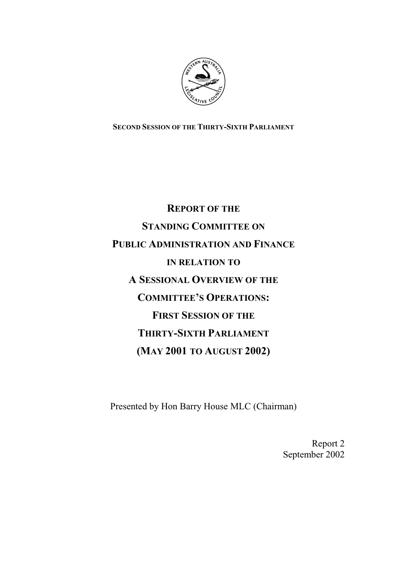

**SECOND SESSION OF THE THIRTY-SIXTH PARLIAMENT**

# **REPORT OF THE STANDING COMMITTEE ON PUBLIC ADMINISTRATION AND FINANCE IN RELATION TO A SESSIONAL OVERVIEW OF THE COMMITTEE'S OPERATIONS: FIRST SESSION OF THE THIRTY-SIXTH PARLIAMENT (MAY 2001 TO AUGUST 2002)**

Presented by Hon Barry House MLC (Chairman)

Report 2 September 2002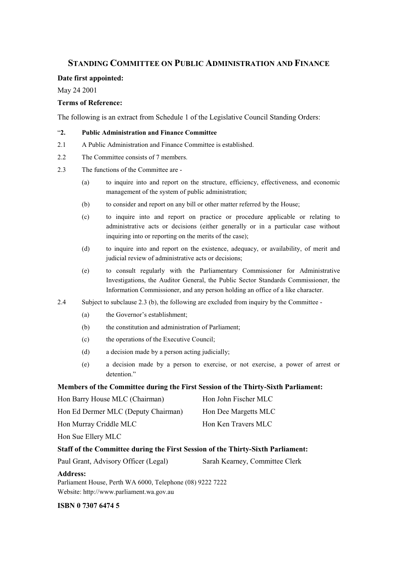# **STANDING COMMITTEE ON PUBLIC ADMINISTRATION AND FINANCE**

#### **Date first appointed:**

May 24 2001

#### **Terms of Reference:**

The following is an extract from Schedule 1 of the Legislative Council Standing Orders:

#### "**2. Public Administration and Finance Committee**

- 2.1 A Public Administration and Finance Committee is established.
- 2.2 The Committee consists of 7 members.
- 2.3 The functions of the Committee are
	- (a) to inquire into and report on the structure, efficiency, effectiveness, and economic management of the system of public administration;
	- (b) to consider and report on any bill or other matter referred by the House;
	- (c) to inquire into and report on practice or procedure applicable or relating to administrative acts or decisions (either generally or in a particular case without inquiring into or reporting on the merits of the case);
	- (d) to inquire into and report on the existence, adequacy, or availability, of merit and judicial review of administrative acts or decisions;
	- (e) to consult regularly with the Parliamentary Commissioner for Administrative Investigations, the Auditor General, the Public Sector Standards Commissioner, the Information Commissioner, and any person holding an office of a like character.
- 2.4 Subject to subclause 2.3 (b), the following are excluded from inquiry by the Committee
	- (a) the Governor's establishment;
	- (b) the constitution and administration of Parliament;
	- (c) the operations of the Executive Council;
	- (d) a decision made by a person acting judicially;
	- (e) a decision made by a person to exercise, or not exercise, a power of arrest or detention."

#### **Members of the Committee during the First Session of the Thirty-Sixth Parliament:**

| Hon Barry House MLC (Chairman)      | Hon John Fischer MLC |
|-------------------------------------|----------------------|
| Hon Ed Dermer MLC (Deputy Chairman) | Hon Dee Margetts MLC |
| Hon Murray Criddle MLC              | Hon Ken Travers MLC  |
| Hon Sue Ellery MLC                  |                      |

#### **Staff of the Committee during the First Session of the Thirty-Sixth Parliament:**

|  | Paul Grant, Advisory Officer (Legal) | Sarah Kearney, Committee Clerk |
|--|--------------------------------------|--------------------------------|
|--|--------------------------------------|--------------------------------|

**Address:**

Parliament House, Perth WA 6000, Telephone (08) 9222 7222 Website: http://www.parliament.wa.gov.au

**ISBN 0 7307 6474 5**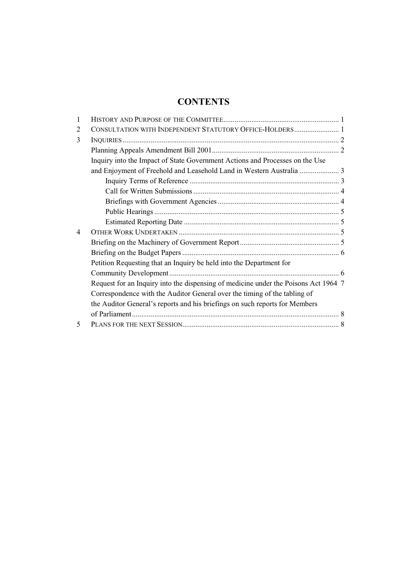# **CONTENTS**

| 1              |                                                                                     |  |
|----------------|-------------------------------------------------------------------------------------|--|
| 2              | CONSULTATION WITH INDEPENDENT STATUTORY OFFICE-HOLDERS 1                            |  |
| 3              |                                                                                     |  |
|                |                                                                                     |  |
|                | Inquiry into the Impact of State Government Actions and Processes on the Use        |  |
|                |                                                                                     |  |
|                |                                                                                     |  |
|                |                                                                                     |  |
|                |                                                                                     |  |
|                |                                                                                     |  |
|                |                                                                                     |  |
| $\overline{4}$ |                                                                                     |  |
|                |                                                                                     |  |
|                |                                                                                     |  |
|                | Petition Requesting that an Inquiry be held into the Department for                 |  |
|                |                                                                                     |  |
|                | Request for an Inquiry into the dispensing of medicine under the Poisons Act 1964 7 |  |
|                | Correspondence with the Auditor General over the timing of the tabling of           |  |
|                | the Auditor General's reports and his briefings on such reports for Members         |  |
|                |                                                                                     |  |
| 5              |                                                                                     |  |
|                |                                                                                     |  |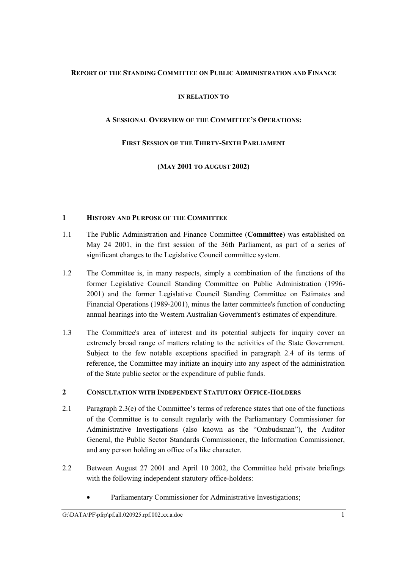# <span id="page-4-0"></span>**REPORT OF THE STANDING COMMITTEE ON PUBLIC ADMINISTRATION AND FINANCE**

# **IN RELATION TO**

# **A SESSIONAL OVERVIEW OF THE COMMITTEE'S OPERATIONS:**

# **FIRST SESSION OF THE THIRTY-SIXTH PARLIAMENT**

**(MAY 2001 TO AUGUST 2002)**

## **1 HISTORY AND PURPOSE OF THE COMMITTEE**

- 1.1 The Public Administration and Finance Committee (**Committee**) was established on May 24 2001, in the first session of the 36th Parliament, as part of a series of significant changes to the Legislative Council committee system.
- 1.2 The Committee is, in many respects, simply a combination of the functions of the former Legislative Council Standing Committee on Public Administration (1996- 2001) and the former Legislative Council Standing Committee on Estimates and Financial Operations (1989-2001), minus the latter committee's function of conducting annual hearings into the Western Australian Government's estimates of expenditure.
- 1.3 The Committee's area of interest and its potential subjects for inquiry cover an extremely broad range of matters relating to the activities of the State Government. Subject to the few notable exceptions specified in paragraph 2.4 of its terms of reference, the Committee may initiate an inquiry into any aspect of the administration of the State public sector or the expenditure of public funds.

# **2 CONSULTATION WITH INDEPENDENT STATUTORY OFFICE-HOLDERS**

- 2.1 Paragraph 2.3(e) of the Committee's terms of reference states that one of the functions of the Committee is to consult regularly with the Parliamentary Commissioner for Administrative Investigations (also known as the "Ombudsman"), the Auditor General, the Public Sector Standards Commissioner, the Information Commissioner, and any person holding an office of a like character.
- 2.2 Between August 27 2001 and April 10 2002, the Committee held private briefings with the following independent statutory office-holders:
	- Parliamentary Commissioner for Administrative Investigations;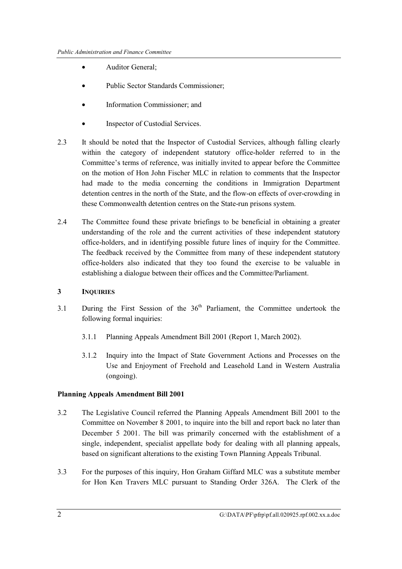- <span id="page-5-0"></span>• Auditor General:
- Public Sector Standards Commissioner;
- Information Commissioner; and
- Inspector of Custodial Services.
- 2.3 It should be noted that the Inspector of Custodial Services, although falling clearly within the category of independent statutory office-holder referred to in the Committee's terms of reference, was initially invited to appear before the Committee on the motion of Hon John Fischer MLC in relation to comments that the Inspector had made to the media concerning the conditions in Immigration Department detention centres in the north of the State, and the flow-on effects of over-crowding in these Commonwealth detention centres on the State-run prisons system.
- 2.4 The Committee found these private briefings to be beneficial in obtaining a greater understanding of the role and the current activities of these independent statutory office-holders, and in identifying possible future lines of inquiry for the Committee. The feedback received by the Committee from many of these independent statutory office-holders also indicated that they too found the exercise to be valuable in establishing a dialogue between their offices and the Committee/Parliament.

# **3 INQUIRIES**

- $3.1$  During the First Session of the  $36<sup>th</sup>$  Parliament, the Committee undertook the following formal inquiries:
	- 3.1.1 Planning Appeals Amendment Bill 2001 (Report 1, March 2002).
	- 3.1.2 Inquiry into the Impact of State Government Actions and Processes on the Use and Enjoyment of Freehold and Leasehold Land in Western Australia (ongoing).

#### **Planning Appeals Amendment Bill 2001**

- 3.2 The Legislative Council referred the Planning Appeals Amendment Bill 2001 to the Committee on November 8 2001, to inquire into the bill and report back no later than December 5 2001. The bill was primarily concerned with the establishment of a single, independent, specialist appellate body for dealing with all planning appeals, based on significant alterations to the existing Town Planning Appeals Tribunal.
- 3.3 For the purposes of this inquiry, Hon Graham Giffard MLC was a substitute member for Hon Ken Travers MLC pursuant to Standing Order 326A. The Clerk of the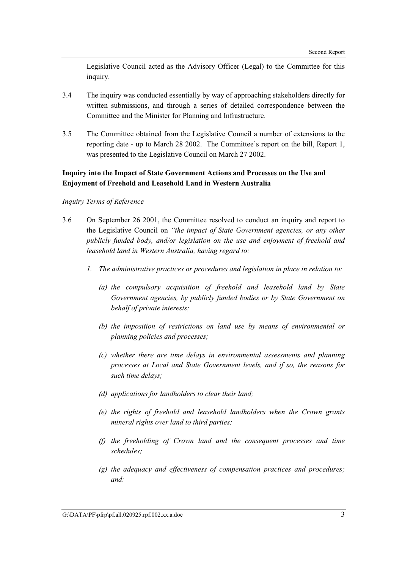<span id="page-6-0"></span>Legislative Council acted as the Advisory Officer (Legal) to the Committee for this inquiry.

- 3.4 The inquiry was conducted essentially by way of approaching stakeholders directly for written submissions, and through a series of detailed correspondence between the Committee and the Minister for Planning and Infrastructure.
- 3.5 The Committee obtained from the Legislative Council a number of extensions to the reporting date - up to March 28 2002. The Committee's report on the bill, Report 1, was presented to the Legislative Council on March 27 2002.

# **Inquiry into the Impact of State Government Actions and Processes on the Use and Enjoyment of Freehold and Leasehold Land in Western Australia**

#### *Inquiry Terms of Reference*

- 3.6 On September 26 2001, the Committee resolved to conduct an inquiry and report to the Legislative Council on *"the impact of State Government agencies, or any other publicly funded body, and/or legislation on the use and enjoyment of freehold and leasehold land in Western Australia, having regard to:*
	- *1. The administrative practices or procedures and legislation in place in relation to:*
		- *(a) the compulsory acquisition of freehold and leasehold land by State Government agencies, by publicly funded bodies or by State Government on behalf of private interests;*
		- *(b) the imposition of restrictions on land use by means of environmental or planning policies and processes;*
		- *(c) whether there are time delays in environmental assessments and planning processes at Local and State Government levels, and if so, the reasons for such time delays;*
		- *(d) applications for landholders to clear their land;*
		- *(e) the rights of freehold and leasehold landholders when the Crown grants mineral rights over land to third parties;*
		- *(f) the freeholding of Crown land and the consequent processes and time schedules;*
		- *(g) the adequacy and effectiveness of compensation practices and procedures; and:*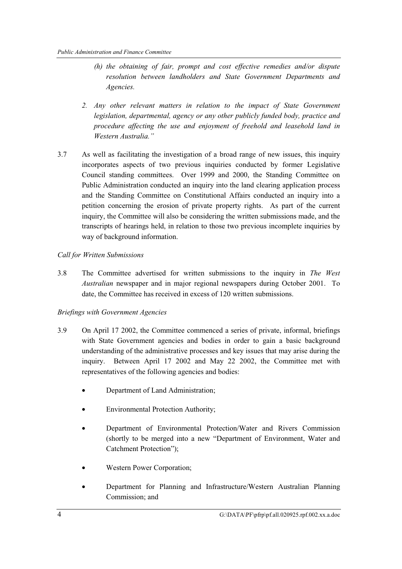- <span id="page-7-0"></span>*(h) the obtaining of fair, prompt and cost effective remedies and/or dispute resolution between landholders and State Government Departments and Agencies.*
- *2. Any other relevant matters in relation to the impact of State Government legislation, departmental, agency or any other publicly funded body, practice and procedure affecting the use and enjoyment of freehold and leasehold land in Western Australia."*
- 3.7 As well as facilitating the investigation of a broad range of new issues, this inquiry incorporates aspects of two previous inquiries conducted by former Legislative Council standing committees. Over 1999 and 2000, the Standing Committee on Public Administration conducted an inquiry into the land clearing application process and the Standing Committee on Constitutional Affairs conducted an inquiry into a petition concerning the erosion of private property rights. As part of the current inquiry, the Committee will also be considering the written submissions made, and the transcripts of hearings held, in relation to those two previous incomplete inquiries by way of background information.

# *Call for Written Submissions*

3.8 The Committee advertised for written submissions to the inquiry in *The West Australian* newspaper and in major regional newspapers during October 2001. To date, the Committee has received in excess of 120 written submissions.

# *Briefings with Government Agencies*

- 3.9 On April 17 2002, the Committee commenced a series of private, informal, briefings with State Government agencies and bodies in order to gain a basic background understanding of the administrative processes and key issues that may arise during the inquiry. Between April 17 2002 and May 22 2002, the Committee met with representatives of the following agencies and bodies:
	- Department of Land Administration;
	- Environmental Protection Authority;
	- Department of Environmental Protection/Water and Rivers Commission (shortly to be merged into a new "Department of Environment, Water and Catchment Protection");
	- Western Power Corporation;
	- Department for Planning and Infrastructure/Western Australian Planning Commission; and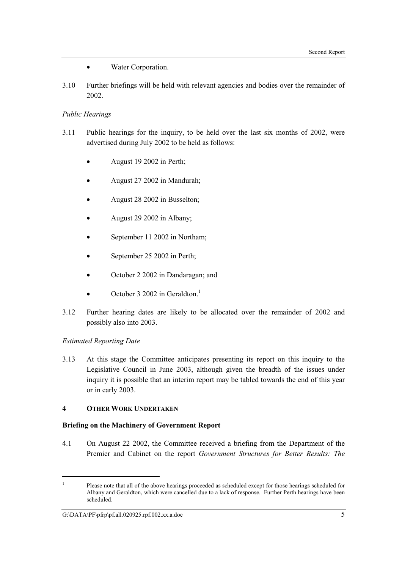- Water Corporation.
- <span id="page-8-0"></span>3.10 Further briefings will be held with relevant agencies and bodies over the remainder of 2002.

#### *Public Hearings*

- 3.11 Public hearings for the inquiry, to be held over the last six months of 2002, were advertised during July 2002 to be held as follows:
	- August 19 2002 in Perth;
	- August 27 2002 in Mandurah;
	- August 28 2002 in Busselton;
	- August 29 2002 in Albany;
	- September 11 2002 in Northam;
	- September 25 2002 in Perth;
	- October 2 2002 in Dandaragan; and
	- October 3 2002 in Geraldton.<sup>1</sup>
- 3.12 Further hearing dates are likely to be allocated over the remainder of 2002 and possibly also into 2003.

# *Estimated Reporting Date*

 $\overline{a}$ 

3.13 At this stage the Committee anticipates presenting its report on this inquiry to the Legislative Council in June 2003, although given the breadth of the issues under inquiry it is possible that an interim report may be tabled towards the end of this year or in early 2003.

#### **4 OTHER WORK UNDERTAKEN**

#### **Briefing on the Machinery of Government Report**

4.1 On August 22 2002, the Committee received a briefing from the Department of the Premier and Cabinet on the report *Government Structures for Better Results: The*

<sup>1</sup> Please note that all of the above hearings proceeded as scheduled except for those hearings scheduled for Albany and Geraldton, which were cancelled due to a lack of response. Further Perth hearings have been scheduled.

G: $\Delta\Pr\phi$ frp\pf.all.020925.rpf.002.xx.a.doc 5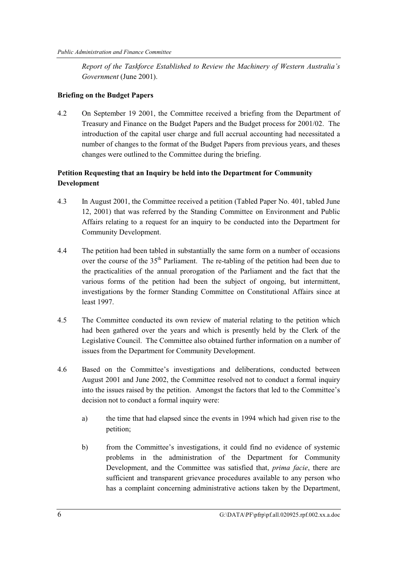<span id="page-9-0"></span>*Report of the Taskforce Established to Review the Machinery of Western Australia's Government* (June 2001).

# **Briefing on the Budget Papers**

4.2 On September 19 2001, the Committee received a briefing from the Department of Treasury and Finance on the Budget Papers and the Budget process for 2001/02. The introduction of the capital user charge and full accrual accounting had necessitated a number of changes to the format of the Budget Papers from previous years, and theses changes were outlined to the Committee during the briefing.

# **Petition Requesting that an Inquiry be held into the Department for Community Development**

- 4.3 In August 2001, the Committee received a petition (Tabled Paper No. 401, tabled June 12, 2001) that was referred by the Standing Committee on Environment and Public Affairs relating to a request for an inquiry to be conducted into the Department for Community Development.
- 4.4 The petition had been tabled in substantially the same form on a number of occasions over the course of the  $35<sup>th</sup>$  Parliament. The re-tabling of the petition had been due to the practicalities of the annual prorogation of the Parliament and the fact that the various forms of the petition had been the subject of ongoing, but intermittent, investigations by the former Standing Committee on Constitutional Affairs since at least 1997.
- 4.5 The Committee conducted its own review of material relating to the petition which had been gathered over the years and which is presently held by the Clerk of the Legislative Council. The Committee also obtained further information on a number of issues from the Department for Community Development.
- 4.6 Based on the Committee's investigations and deliberations, conducted between August 2001 and June 2002, the Committee resolved not to conduct a formal inquiry into the issues raised by the petition. Amongst the factors that led to the Committee's decision not to conduct a formal inquiry were:
	- a) the time that had elapsed since the events in 1994 which had given rise to the petition;
	- b) from the Committee's investigations, it could find no evidence of systemic problems in the administration of the Department for Community Development, and the Committee was satisfied that, *prima facie*, there are sufficient and transparent grievance procedures available to any person who has a complaint concerning administrative actions taken by the Department,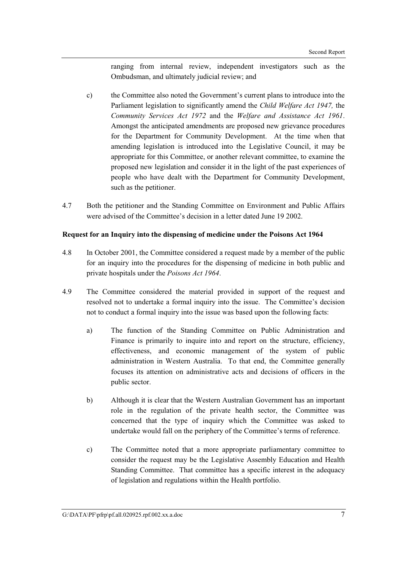ranging from internal review, independent investigators such as the Ombudsman, and ultimately judicial review; and

- <span id="page-10-0"></span>c) the Committee also noted the Government's current plans to introduce into the Parliament legislation to significantly amend the *Child Welfare Act 1947,* the *Community Services Act 1972* and the *Welfare and Assistance Act 1961*. Amongst the anticipated amendments are proposed new grievance procedures for the Department for Community Development. At the time when that amending legislation is introduced into the Legislative Council, it may be appropriate for this Committee, or another relevant committee, to examine the proposed new legislation and consider it in the light of the past experiences of people who have dealt with the Department for Community Development, such as the petitioner.
- 4.7 Both the petitioner and the Standing Committee on Environment and Public Affairs were advised of the Committee's decision in a letter dated June 19 2002.

## **Request for an Inquiry into the dispensing of medicine under the Poisons Act 1964**

- 4.8 In October 2001, the Committee considered a request made by a member of the public for an inquiry into the procedures for the dispensing of medicine in both public and private hospitals under the *Poisons Act 1964*.
- 4.9 The Committee considered the material provided in support of the request and resolved not to undertake a formal inquiry into the issue. The Committee's decision not to conduct a formal inquiry into the issue was based upon the following facts:
	- a) The function of the Standing Committee on Public Administration and Finance is primarily to inquire into and report on the structure, efficiency, effectiveness, and economic management of the system of public administration in Western Australia. To that end, the Committee generally focuses its attention on administrative acts and decisions of officers in the public sector.
	- b) Although it is clear that the Western Australian Government has an important role in the regulation of the private health sector, the Committee was concerned that the type of inquiry which the Committee was asked to undertake would fall on the periphery of the Committee's terms of reference.
	- c) The Committee noted that a more appropriate parliamentary committee to consider the request may be the Legislative Assembly Education and Health Standing Committee. That committee has a specific interest in the adequacy of legislation and regulations within the Health portfolio.